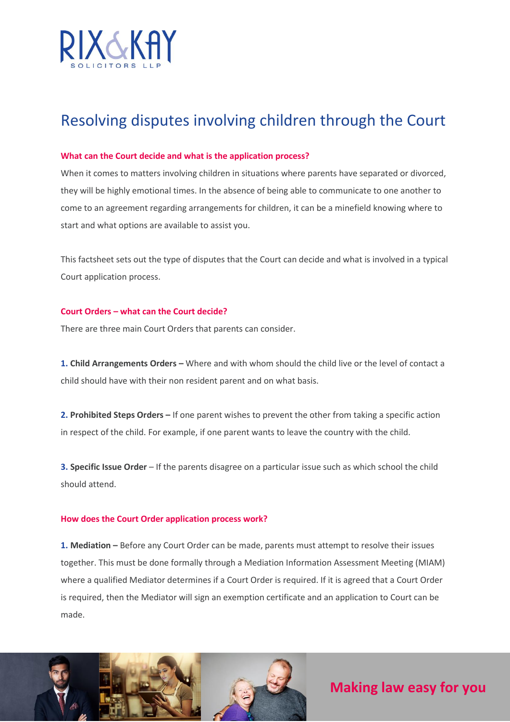

# Resolving disputes involving children through the Court

# **What can the Court decide and what is the application process?**

When it comes to matters involving children in situations where parents have separated or divorced, they will be highly emotional times. In the absence of being able to communicate to one another to come to an agreement regarding arrangements for children, it can be a minefield knowing where to start and what options are available to assist you.

This factsheet sets out the type of disputes that the Court can decide and what is involved in a typical Court application process.

# **Court Orders – what can the Court decide?**

There are three main Court Orders that parents can consider.

1. Child Arrangements Orders - Where and with whom should the child live or the level of contact a child should have with their non resident parent and on what basis.

**2. Prohibited Steps Orders –** If one parent wishes to prevent the other from taking a specific action in respect of the child. For example, if one parent wants to leave the country with the child.

**3. Specific Issue Order** – If the parents disagree on a particular issue such as which school the child should attend.

#### **How does the Court Order application process work?**

**1. Mediation –** Before any Court Order can be made, parents must attempt to resolve their issues together. This must be done formally through a Mediation Information Assessment Meeting (MIAM) where a qualified Mediator determines if a Court Order is required. If it is agreed that a Court Order is required, then the Mediator will sign an exemption certificate and an application to Court can be made.



# **Making law easy for you**